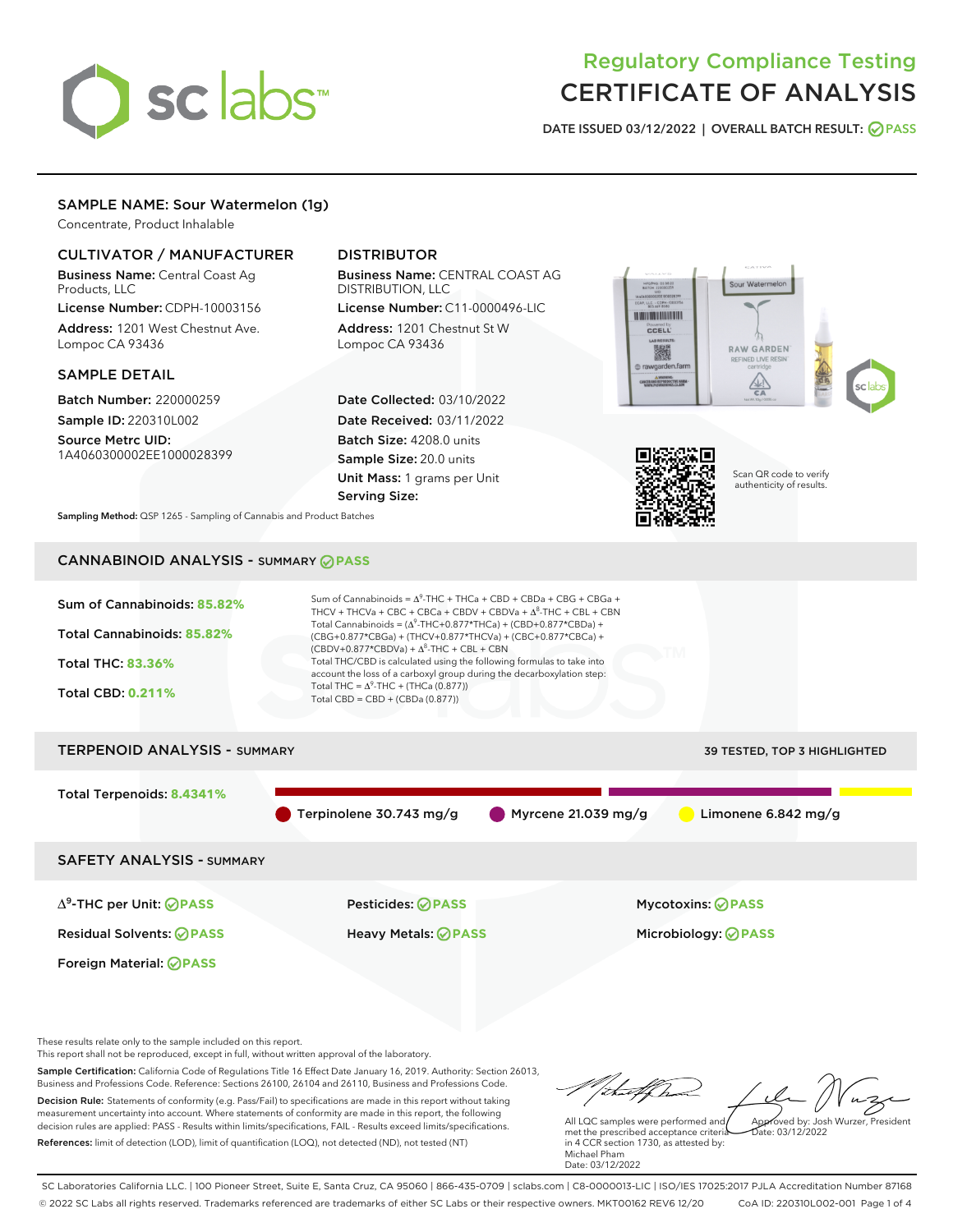

# Regulatory Compliance Testing CERTIFICATE OF ANALYSIS

DATE ISSUED 03/12/2022 | OVERALL BATCH RESULT: @ PASS

# SAMPLE NAME: Sour Watermelon (1g)

Concentrate, Product Inhalable

## CULTIVATOR / MANUFACTURER

Business Name: Central Coast Ag Products, LLC

License Number: CDPH-10003156 Address: 1201 West Chestnut Ave. Lompoc CA 93436

#### SAMPLE DETAIL

Batch Number: 220000259 Sample ID: 220310L002

Source Metrc UID: 1A4060300002EE1000028399

# DISTRIBUTOR

Business Name: CENTRAL COAST AG DISTRIBUTION, LLC License Number: C11-0000496-LIC

Address: 1201 Chestnut St W Lompoc CA 93436

Date Collected: 03/10/2022 Date Received: 03/11/2022 Batch Size: 4208.0 units Sample Size: 20.0 units Unit Mass: 1 grams per Unit Serving Size:





Scan QR code to verify authenticity of results.

Sampling Method: QSP 1265 - Sampling of Cannabis and Product Batches

# CANNABINOID ANALYSIS - SUMMARY **PASS**



These results relate only to the sample included on this report.

This report shall not be reproduced, except in full, without written approval of the laboratory.

Sample Certification: California Code of Regulations Title 16 Effect Date January 16, 2019. Authority: Section 26013, Business and Professions Code. Reference: Sections 26100, 26104 and 26110, Business and Professions Code. Decision Rule: Statements of conformity (e.g. Pass/Fail) to specifications are made in this report without taking measurement uncertainty into account. Where statements of conformity are made in this report, the following decision rules are applied: PASS - Results within limits/specifications, FAIL - Results exceed limits/specifications.

References: limit of detection (LOD), limit of quantification (LOQ), not detected (ND), not tested (NT)

that forma Approved by: Josh Wurzer, President

 $ate: 03/12/2022$ 

All LQC samples were performed and met the prescribed acceptance criteria in 4 CCR section 1730, as attested by: Michael Pham Date: 03/12/2022

SC Laboratories California LLC. | 100 Pioneer Street, Suite E, Santa Cruz, CA 95060 | 866-435-0709 | sclabs.com | C8-0000013-LIC | ISO/IES 17025:2017 PJLA Accreditation Number 87168 © 2022 SC Labs all rights reserved. Trademarks referenced are trademarks of either SC Labs or their respective owners. MKT00162 REV6 12/20 CoA ID: 220310L002-001 Page 1 of 4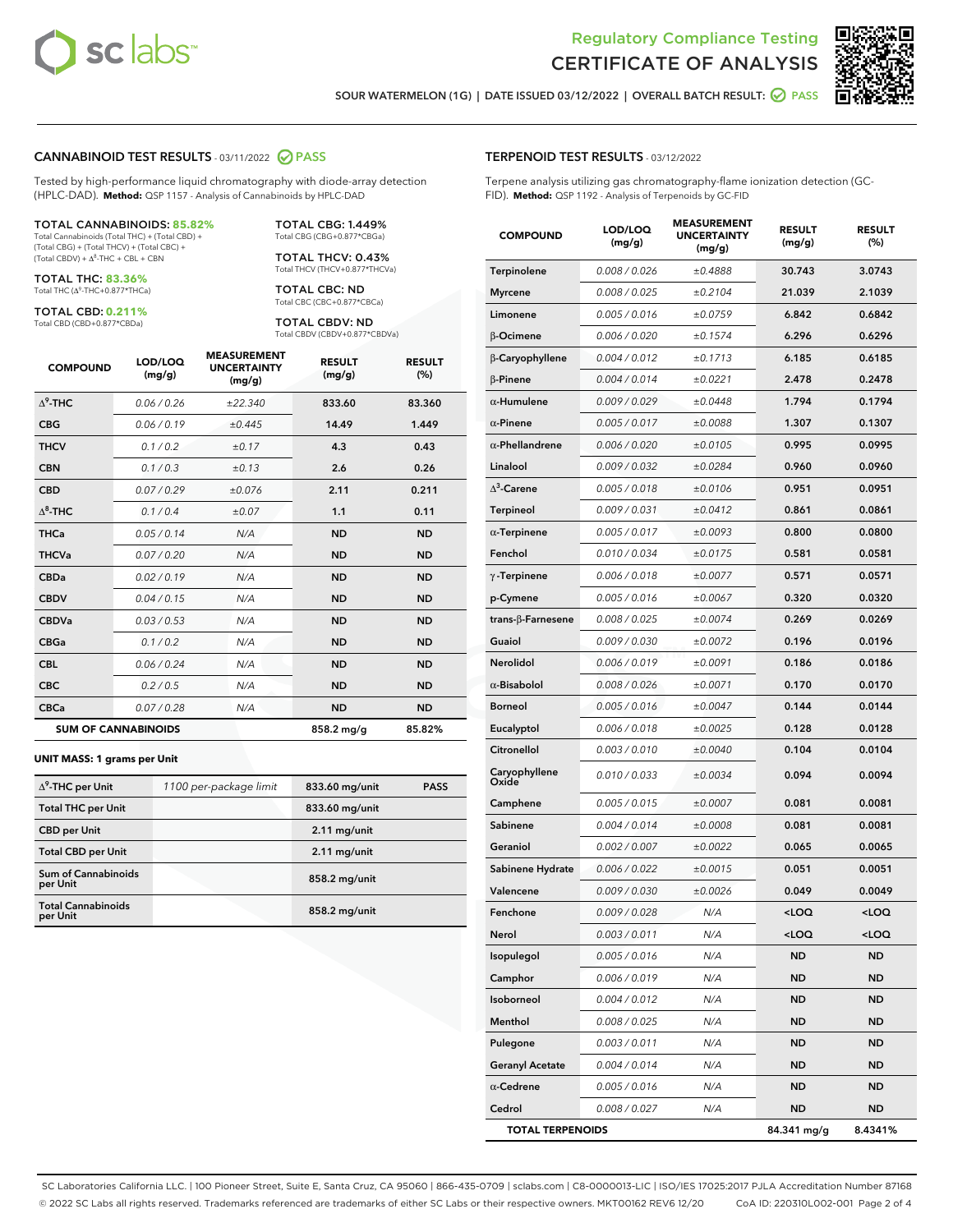



SOUR WATERMELON (1G) | DATE ISSUED 03/12/2022 | OVERALL BATCH RESULT: @ PASS

#### CANNABINOID TEST RESULTS - 03/11/2022 2 PASS

Tested by high-performance liquid chromatography with diode-array detection (HPLC-DAD). **Method:** QSP 1157 - Analysis of Cannabinoids by HPLC-DAD

#### TOTAL CANNABINOIDS: **85.82%**

Total Cannabinoids (Total THC) + (Total CBD) + (Total CBG) + (Total THCV) + (Total CBC) +  $(Total CBDV) +  $\Delta^8$ -THC + CBL + CBN$ 

TOTAL THC: **83.36%** Total THC (Δ<sup>9</sup>-THC+0.877\*THCa)

TOTAL CBD: **0.211%**

Total CBD (CBD+0.877\*CBDa)

TOTAL CBG: 1.449% Total CBG (CBG+0.877\*CBGa)

TOTAL THCV: 0.43% Total THCV (THCV+0.877\*THCVa)

TOTAL CBC: ND Total CBC (CBC+0.877\*CBCa)

TOTAL CBDV: ND Total CBDV (CBDV+0.877\*CBDVa)

| <b>COMPOUND</b>            | LOD/LOQ<br>(mg/g) | <b>MEASUREMENT</b><br><b>UNCERTAINTY</b><br>(mg/g) | <b>RESULT</b><br>(mg/g) | <b>RESULT</b><br>(%) |
|----------------------------|-------------------|----------------------------------------------------|-------------------------|----------------------|
| $\Delta^9$ -THC            | 0.06/0.26         | ±22.340                                            | 833.60                  | 83.360               |
| <b>CBG</b>                 | 0.06/0.19         | ±0.445                                             | 14.49                   | 1.449                |
| <b>THCV</b>                | 0.1/0.2           | ±0.17                                              | 4.3                     | 0.43                 |
| <b>CBN</b>                 | 0.1/0.3           | ±0.13                                              | 2.6                     | 0.26                 |
| <b>CBD</b>                 | 0.07/0.29         | ±0.076                                             | 2.11                    | 0.211                |
| $\Delta^8$ -THC            | 0.1 / 0.4         | ±0.07                                              | 1.1                     | 0.11                 |
| <b>THCa</b>                | 0.05/0.14         | N/A                                                | <b>ND</b>               | <b>ND</b>            |
| <b>THCVa</b>               | 0.07/0.20         | N/A                                                | <b>ND</b>               | <b>ND</b>            |
| <b>CBDa</b>                | 0.02/0.19         | N/A                                                | <b>ND</b>               | <b>ND</b>            |
| <b>CBDV</b>                | 0.04 / 0.15       | N/A                                                | <b>ND</b>               | <b>ND</b>            |
| <b>CBDVa</b>               | 0.03/0.53         | N/A                                                | <b>ND</b>               | <b>ND</b>            |
| <b>CBGa</b>                | 0.1/0.2           | N/A                                                | <b>ND</b>               | <b>ND</b>            |
| <b>CBL</b>                 | 0.06 / 0.24       | N/A                                                | <b>ND</b>               | <b>ND</b>            |
| <b>CBC</b>                 | 0.2 / 0.5         | N/A                                                | <b>ND</b>               | <b>ND</b>            |
| <b>CBCa</b>                | 0.07/0.28         | N/A                                                | <b>ND</b>               | <b>ND</b>            |
| <b>SUM OF CANNABINOIDS</b> |                   |                                                    | 858.2 mg/g              | 85.82%               |

#### **UNIT MASS: 1 grams per Unit**

| $\Delta^9$ -THC per Unit              | 1100 per-package limit | 833.60 mg/unit | <b>PASS</b> |
|---------------------------------------|------------------------|----------------|-------------|
| <b>Total THC per Unit</b>             |                        | 833.60 mg/unit |             |
| <b>CBD</b> per Unit                   |                        | $2.11$ mg/unit |             |
| <b>Total CBD per Unit</b>             |                        | $2.11$ mg/unit |             |
| Sum of Cannabinoids<br>per Unit       |                        | 858.2 mg/unit  |             |
| <b>Total Cannabinoids</b><br>per Unit |                        | 858.2 mg/unit  |             |

#### TERPENOID TEST RESULTS - 03/12/2022

Terpene analysis utilizing gas chromatography-flame ionization detection (GC-FID). **Method:** QSP 1192 - Analysis of Terpenoids by GC-FID

| <b>COMPOUND</b>           | LOD/LOQ<br>(mg/g) | <b>MEASUREMENT</b><br><b>UNCERTAINTY</b><br>(mg/g) | <b>RESULT</b><br>(mg/g)                         | <b>RESULT</b><br>(%) |
|---------------------------|-------------------|----------------------------------------------------|-------------------------------------------------|----------------------|
| Terpinolene               | 0.008 / 0.026     | ±0.4888                                            | 30.743                                          | 3.0743               |
| <b>Myrcene</b>            | 0.008 / 0.025     | ±0.2104                                            | 21.039                                          | 2.1039               |
| Limonene                  | 0.005 / 0.016     | ±0.0759                                            | 6.842                                           | 0.6842               |
| β-Ocimene                 | 0.006 / 0.020     | ±0.1574                                            | 6.296                                           | 0.6296               |
| β-Caryophyllene           | 0.004 / 0.012     | ±0.1713                                            | 6.185                                           | 0.6185               |
| <b>B-Pinene</b>           | 0.004 / 0.014     | ±0.0221                                            | 2.478                                           | 0.2478               |
| $\alpha$ -Humulene        | 0.009 / 0.029     | ±0.0448                                            | 1.794                                           | 0.1794               |
| $\alpha$ -Pinene          | 0.005 / 0.017     | ±0.0088                                            | 1.307                                           | 0.1307               |
| $\alpha$ -Phellandrene    | 0.006 / 0.020     | ±0.0105                                            | 0.995                                           | 0.0995               |
| Linalool                  | 0.009 / 0.032     | ±0.0284                                            | 0.960                                           | 0.0960               |
| $\Delta^3$ -Carene        | 0.005 / 0.018     | ±0.0106                                            | 0.951                                           | 0.0951               |
| Terpineol                 | 0.009 / 0.031     | ±0.0412                                            | 0.861                                           | 0.0861               |
| $\alpha$ -Terpinene       | 0.005 / 0.017     | ±0.0093                                            | 0.800                                           | 0.0800               |
| Fenchol                   | 0.010 / 0.034     | ±0.0175                                            | 0.581                                           | 0.0581               |
| $\gamma$ -Terpinene       | 0.006 / 0.018     | ±0.0077                                            | 0.571                                           | 0.0571               |
| p-Cymene                  | 0.005 / 0.016     | ±0.0067                                            | 0.320                                           | 0.0320               |
| trans- $\beta$ -Farnesene | 0.008 / 0.025     | ±0.0074                                            | 0.269                                           | 0.0269               |
| Guaiol                    | 0.009 / 0.030     | ±0.0072                                            | 0.196                                           | 0.0196               |
| Nerolidol                 | 0.006 / 0.019     | ±0.0091                                            | 0.186                                           | 0.0186               |
| $\alpha$ -Bisabolol       | 0.008 / 0.026     | ±0.0071                                            | 0.170                                           | 0.0170               |
| <b>Borneol</b>            | 0.005 / 0.016     | ±0.0047                                            | 0.144                                           | 0.0144               |
| Eucalyptol                | 0.006 / 0.018     | ±0.0025                                            | 0.128                                           | 0.0128               |
| Citronellol               | 0.003 / 0.010     | ±0.0040                                            | 0.104                                           | 0.0104               |
| Caryophyllene<br>Oxide    | 0.010 / 0.033     | ±0.0034                                            | 0.094                                           | 0.0094               |
| Camphene                  | 0.005 / 0.015     | ±0.0007                                            | 0.081                                           | 0.0081               |
| Sabinene                  | 0.004 / 0.014     | ±0.0008                                            | 0.081                                           | 0.0081               |
| Geraniol                  | 0.002 / 0.007     | ±0.0022                                            | 0.065                                           | 0.0065               |
| Sabinene Hydrate          | 0.006 / 0.022     | ±0.0015                                            | 0.051                                           | 0.0051               |
| Valencene                 | 0.009 / 0.030     | ±0.0026                                            | 0.049                                           | 0.0049               |
| Fenchone                  | 0.009 / 0.028     | N/A                                                | <loq< th=""><th><loq< th=""></loq<></th></loq<> | <loq< th=""></loq<>  |
| Nerol                     | 0.003 / 0.011     | N/A                                                | <loq< th=""><th><loq< th=""></loq<></th></loq<> | <loq< th=""></loq<>  |
| Isopulegol                | 0.005 / 0.016     | N/A                                                | ND                                              | <b>ND</b>            |
| Camphor                   | 0.006 / 0.019     | N/A                                                | <b>ND</b>                                       | <b>ND</b>            |
| Isoborneol                | 0.004 / 0.012     | N/A                                                | ND                                              | ND                   |
| Menthol                   | 0.008 / 0.025     | N/A                                                | ND                                              | ND                   |
| Pulegone                  | 0.003 / 0.011     | N/A                                                | <b>ND</b>                                       | <b>ND</b>            |
| <b>Geranyl Acetate</b>    | 0.004 / 0.014     | N/A                                                | ND                                              | ND                   |
| $\alpha$ -Cedrene         | 0.005 / 0.016     | N/A                                                | ND                                              | ND                   |
| Cedrol                    | 0.008 / 0.027     | N/A                                                | <b>ND</b>                                       | <b>ND</b>            |
| <b>TOTAL TERPENOIDS</b>   |                   |                                                    | 84.341 mg/g                                     | 8.4341%              |

SC Laboratories California LLC. | 100 Pioneer Street, Suite E, Santa Cruz, CA 95060 | 866-435-0709 | sclabs.com | C8-0000013-LIC | ISO/IES 17025:2017 PJLA Accreditation Number 87168 © 2022 SC Labs all rights reserved. Trademarks referenced are trademarks of either SC Labs or their respective owners. MKT00162 REV6 12/20 CoA ID: 220310L002-001 Page 2 of 4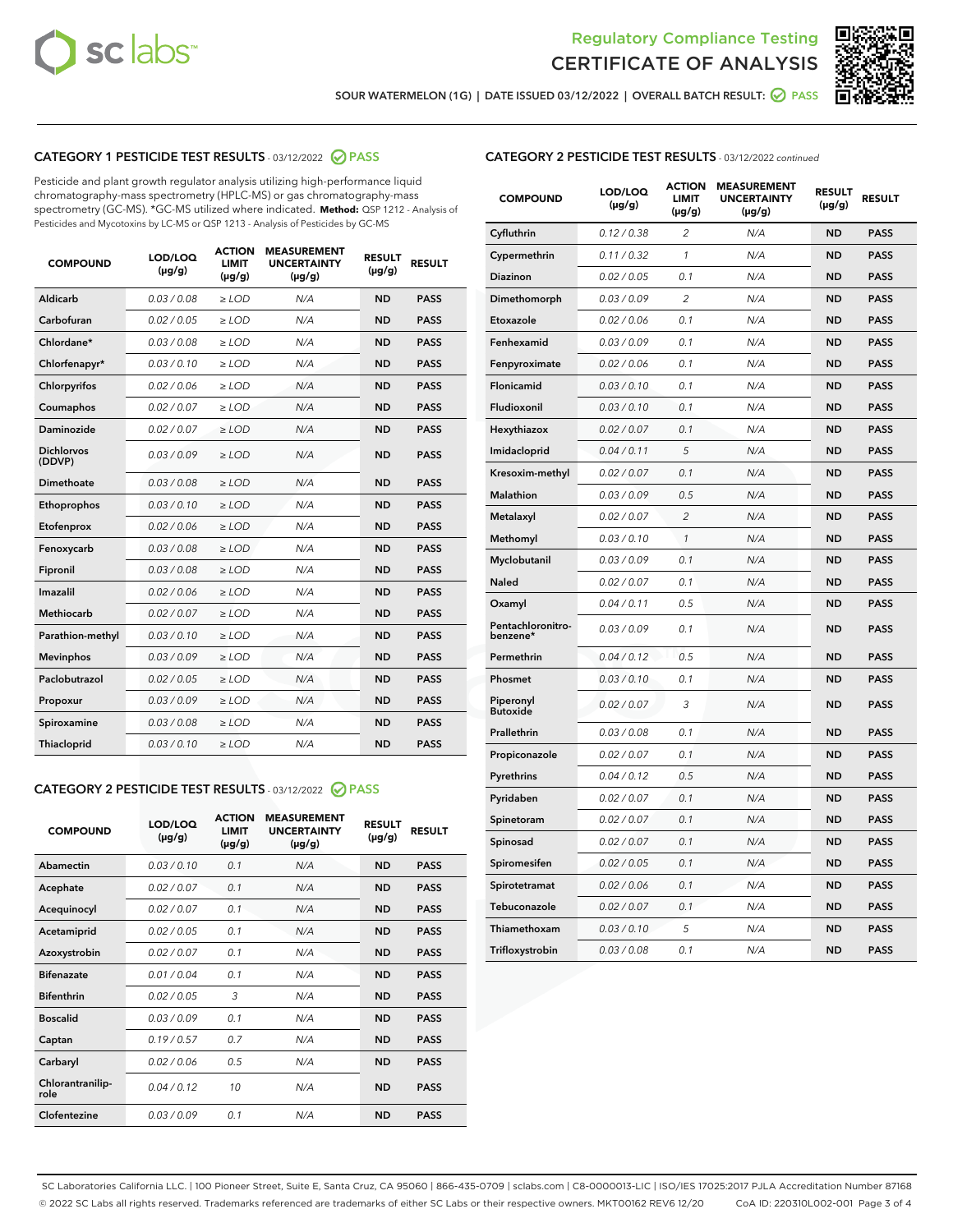



SOUR WATERMELON (1G) | DATE ISSUED 03/12/2022 | OVERALL BATCH RESULT: ☑ PASS

# CATEGORY 1 PESTICIDE TEST RESULTS - 03/12/2022 2 PASS

Pesticide and plant growth regulator analysis utilizing high-performance liquid chromatography-mass spectrometry (HPLC-MS) or gas chromatography-mass spectrometry (GC-MS). \*GC-MS utilized where indicated. **Method:** QSP 1212 - Analysis of Pesticides and Mycotoxins by LC-MS or QSP 1213 - Analysis of Pesticides by GC-MS

| <b>COMPOUND</b>             | LOD/LOQ<br>$(\mu g/g)$ | <b>ACTION</b><br><b>LIMIT</b><br>$(\mu g/g)$ | <b>MEASUREMENT</b><br><b>UNCERTAINTY</b><br>$(\mu g/g)$ | <b>RESULT</b><br>$(\mu g/g)$ | <b>RESULT</b> |
|-----------------------------|------------------------|----------------------------------------------|---------------------------------------------------------|------------------------------|---------------|
| Aldicarb                    | 0.03 / 0.08            | $\ge$ LOD                                    | N/A                                                     | <b>ND</b>                    | <b>PASS</b>   |
| Carbofuran                  | 0.02 / 0.05            | $>$ LOD                                      | N/A                                                     | <b>ND</b>                    | <b>PASS</b>   |
| Chlordane*                  | 0.03 / 0.08            | $\ge$ LOD                                    | N/A                                                     | <b>ND</b>                    | <b>PASS</b>   |
| Chlorfenapyr*               | 0.03/0.10              | $\ge$ LOD                                    | N/A                                                     | <b>ND</b>                    | <b>PASS</b>   |
| Chlorpyrifos                | 0.02/0.06              | $>$ LOD                                      | N/A                                                     | <b>ND</b>                    | <b>PASS</b>   |
| Coumaphos                   | 0.02 / 0.07            | $\ge$ LOD                                    | N/A                                                     | <b>ND</b>                    | <b>PASS</b>   |
| Daminozide                  | 0.02 / 0.07            | $\ge$ LOD                                    | N/A                                                     | <b>ND</b>                    | <b>PASS</b>   |
| <b>Dichlorvos</b><br>(DDVP) | 0.03/0.09              | $\ge$ LOD                                    | N/A                                                     | <b>ND</b>                    | <b>PASS</b>   |
| Dimethoate                  | 0.03 / 0.08            | $>$ LOD                                      | N/A                                                     | <b>ND</b>                    | <b>PASS</b>   |
| Ethoprophos                 | 0.03/0.10              | $>$ LOD                                      | N/A                                                     | <b>ND</b>                    | <b>PASS</b>   |
| Etofenprox                  | 0.02 / 0.06            | $\ge$ LOD                                    | N/A                                                     | <b>ND</b>                    | <b>PASS</b>   |
| Fenoxycarb                  | 0.03 / 0.08            | $\ge$ LOD                                    | N/A                                                     | <b>ND</b>                    | <b>PASS</b>   |
| Fipronil                    | 0.03 / 0.08            | $\ge$ LOD                                    | N/A                                                     | <b>ND</b>                    | <b>PASS</b>   |
| Imazalil                    | 0.02 / 0.06            | $\ge$ LOD                                    | N/A                                                     | <b>ND</b>                    | <b>PASS</b>   |
| <b>Methiocarb</b>           | 0.02 / 0.07            | $\ge$ LOD                                    | N/A                                                     | <b>ND</b>                    | <b>PASS</b>   |
| Parathion-methyl            | 0.03/0.10              | $>$ LOD                                      | N/A                                                     | <b>ND</b>                    | <b>PASS</b>   |
| <b>Mevinphos</b>            | 0.03/0.09              | $\ge$ LOD                                    | N/A                                                     | <b>ND</b>                    | <b>PASS</b>   |
| Paclobutrazol               | 0.02 / 0.05            | $\ge$ LOD                                    | N/A                                                     | <b>ND</b>                    | <b>PASS</b>   |
| Propoxur                    | 0.03/0.09              | $>$ LOD                                      | N/A                                                     | <b>ND</b>                    | <b>PASS</b>   |
| Spiroxamine                 | 0.03 / 0.08            | $\ge$ LOD                                    | N/A                                                     | <b>ND</b>                    | <b>PASS</b>   |
| Thiacloprid                 | 0.03/0.10              | $\ge$ LOD                                    | N/A                                                     | <b>ND</b>                    | <b>PASS</b>   |

# CATEGORY 2 PESTICIDE TEST RESULTS - 03/12/2022 2 PASS

| <b>COMPOUND</b>          | LOD/LOO<br>$(\mu g/g)$ | <b>ACTION</b><br><b>LIMIT</b><br>$(\mu g/g)$ | <b>MEASUREMENT</b><br><b>UNCERTAINTY</b><br>$(\mu g/g)$ | <b>RESULT</b><br>$(\mu g/g)$ | <b>RESULT</b> |  |
|--------------------------|------------------------|----------------------------------------------|---------------------------------------------------------|------------------------------|---------------|--|
| Abamectin                | 0.03/0.10              | 0.1                                          | N/A                                                     | <b>ND</b>                    | <b>PASS</b>   |  |
| Acephate                 | 0.02 / 0.07            | 0.1                                          | N/A                                                     | <b>ND</b>                    | <b>PASS</b>   |  |
| Acequinocyl              | 0.02/0.07              | 0.1                                          | N/A                                                     | <b>ND</b>                    | <b>PASS</b>   |  |
| Acetamiprid              | 0.02/0.05              | 0.1                                          | N/A                                                     | <b>ND</b>                    | <b>PASS</b>   |  |
| Azoxystrobin             | 0.02 / 0.07            | 0.1                                          | N/A                                                     | <b>ND</b>                    | <b>PASS</b>   |  |
| <b>Bifenazate</b>        | 0.01/0.04              | 0.1                                          | N/A                                                     | <b>ND</b>                    | <b>PASS</b>   |  |
| <b>Bifenthrin</b>        | 0.02/0.05              | 3                                            | N/A                                                     | <b>ND</b>                    | <b>PASS</b>   |  |
| <b>Boscalid</b>          | 0.03/0.09              | 0.1                                          | N/A                                                     | <b>ND</b>                    | <b>PASS</b>   |  |
| Captan                   | 0.19/0.57              | 0.7                                          | N/A                                                     | <b>ND</b>                    | <b>PASS</b>   |  |
| Carbaryl                 | 0.02/0.06              | 0.5                                          | N/A                                                     | <b>ND</b>                    | <b>PASS</b>   |  |
| Chlorantranilip-<br>role | 0.04/0.12              | 10                                           | N/A                                                     | <b>ND</b>                    | <b>PASS</b>   |  |
| Clofentezine             | 0.03/0.09              | 0.1                                          | N/A                                                     | <b>ND</b>                    | <b>PASS</b>   |  |

## CATEGORY 2 PESTICIDE TEST RESULTS - 03/12/2022 continued

| <b>COMPOUND</b>               | LOD/LOQ<br>$(\mu g/g)$ | <b>ACTION</b><br><b>LIMIT</b><br>(µg/g) | <b>MEASUREMENT</b><br><b>UNCERTAINTY</b><br>$(\mu g/g)$ | <b>RESULT</b><br>$(\mu g/g)$ | <b>RESULT</b> |
|-------------------------------|------------------------|-----------------------------------------|---------------------------------------------------------|------------------------------|---------------|
| Cyfluthrin                    | 0.12 / 0.38            | $\overline{2}$                          | N/A                                                     | <b>ND</b>                    | <b>PASS</b>   |
| Cypermethrin                  | 0.11 / 0.32            | 1                                       | N/A                                                     | <b>ND</b>                    | <b>PASS</b>   |
| Diazinon                      | 0.02 / 0.05            | 0.1                                     | N/A                                                     | <b>ND</b>                    | <b>PASS</b>   |
| Dimethomorph                  | 0.03 / 0.09            | $\overline{2}$                          | N/A                                                     | <b>ND</b>                    | <b>PASS</b>   |
| Etoxazole                     | 0.02 / 0.06            | 0.1                                     | N/A                                                     | <b>ND</b>                    | <b>PASS</b>   |
| Fenhexamid                    | 0.03 / 0.09            | 0.1                                     | N/A                                                     | <b>ND</b>                    | <b>PASS</b>   |
| Fenpyroximate                 | 0.02 / 0.06            | 0.1                                     | N/A                                                     | <b>ND</b>                    | <b>PASS</b>   |
| Flonicamid                    | 0.03 / 0.10            | 0.1                                     | N/A                                                     | <b>ND</b>                    | <b>PASS</b>   |
| Fludioxonil                   | 0.03 / 0.10            | 0.1                                     | N/A                                                     | <b>ND</b>                    | <b>PASS</b>   |
| Hexythiazox                   | 0.02 / 0.07            | 0.1                                     | N/A                                                     | <b>ND</b>                    | <b>PASS</b>   |
| Imidacloprid                  | 0.04 / 0.11            | 5                                       | N/A                                                     | <b>ND</b>                    | <b>PASS</b>   |
| Kresoxim-methyl               | 0.02 / 0.07            | 0.1                                     | N/A                                                     | <b>ND</b>                    | <b>PASS</b>   |
| <b>Malathion</b>              | 0.03 / 0.09            | 0.5                                     | N/A                                                     | <b>ND</b>                    | <b>PASS</b>   |
| Metalaxyl                     | 0.02 / 0.07            | $\overline{c}$                          | N/A                                                     | <b>ND</b>                    | <b>PASS</b>   |
| Methomyl                      | 0.03 / 0.10            | 1                                       | N/A                                                     | <b>ND</b>                    | <b>PASS</b>   |
| Myclobutanil                  | 0.03 / 0.09            | 0.1                                     | N/A                                                     | <b>ND</b>                    | <b>PASS</b>   |
| Naled                         | 0.02 / 0.07            | 0.1                                     | N/A                                                     | <b>ND</b>                    | <b>PASS</b>   |
| Oxamyl                        | 0.04 / 0.11            | 0.5                                     | N/A                                                     | <b>ND</b>                    | <b>PASS</b>   |
| Pentachloronitro-<br>benzene* | 0.03 / 0.09            | 0.1                                     | N/A                                                     | <b>ND</b>                    | <b>PASS</b>   |
| Permethrin                    | 0.04 / 0.12            | 0.5                                     | N/A                                                     | <b>ND</b>                    | <b>PASS</b>   |
| Phosmet                       | 0.03 / 0.10            | 0.1                                     | N/A                                                     | <b>ND</b>                    | <b>PASS</b>   |
| Piperonyl<br><b>Butoxide</b>  | 0.02 / 0.07            | 3                                       | N/A                                                     | <b>ND</b>                    | <b>PASS</b>   |
| Prallethrin                   | 0.03 / 0.08            | 0.1                                     | N/A                                                     | <b>ND</b>                    | <b>PASS</b>   |
| Propiconazole                 | 0.02 / 0.07            | 0.1                                     | N/A                                                     | <b>ND</b>                    | <b>PASS</b>   |
| Pyrethrins                    | 0.04 / 0.12            | 0.5                                     | N/A                                                     | <b>ND</b>                    | <b>PASS</b>   |
| Pyridaben                     | 0.02 / 0.07            | 0.1                                     | N/A                                                     | <b>ND</b>                    | <b>PASS</b>   |
| Spinetoram                    | 0.02 / 0.07            | 0.1                                     | N/A                                                     | <b>ND</b>                    | <b>PASS</b>   |
| Spinosad                      | 0.02 / 0.07            | 0.1                                     | N/A                                                     | <b>ND</b>                    | <b>PASS</b>   |
| Spiromesifen                  | 0.02 / 0.05            | 0.1                                     | N/A                                                     | <b>ND</b>                    | <b>PASS</b>   |
| Spirotetramat                 | 0.02 / 0.06            | 0.1                                     | N/A                                                     | <b>ND</b>                    | <b>PASS</b>   |
| Tebuconazole                  | 0.02 / 0.07            | 0.1                                     | N/A                                                     | <b>ND</b>                    | <b>PASS</b>   |
| Thiamethoxam                  | 0.03 / 0.10            | 5                                       | N/A                                                     | <b>ND</b>                    | <b>PASS</b>   |
| Trifloxystrobin               | 0.03 / 0.08            | 0.1                                     | N/A                                                     | <b>ND</b>                    | <b>PASS</b>   |

SC Laboratories California LLC. | 100 Pioneer Street, Suite E, Santa Cruz, CA 95060 | 866-435-0709 | sclabs.com | C8-0000013-LIC | ISO/IES 17025:2017 PJLA Accreditation Number 87168 © 2022 SC Labs all rights reserved. Trademarks referenced are trademarks of either SC Labs or their respective owners. MKT00162 REV6 12/20 CoA ID: 220310L002-001 Page 3 of 4